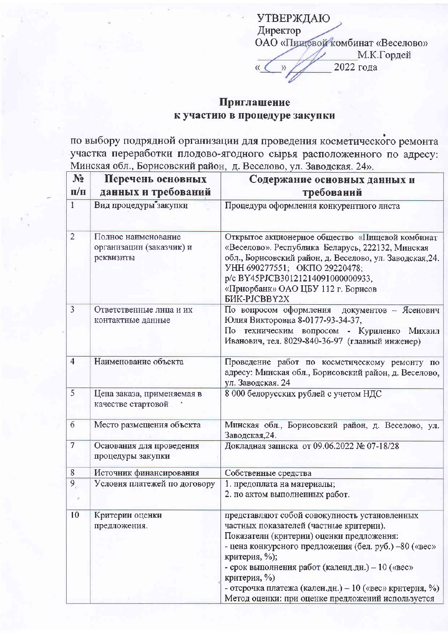УТВЕРЖДАЮ<br>Директор ОАО «Пищевой комбинат «Веселово» М.К.Гордей 2022 года

## Приглашение к участию в процедуре закупки

по выбору подрядной организации для проведения косметического ремонта участка переработки плодово-ягодного сырья расположенного по адресу: Минская обл., Борисовский район, д. Веселово, ул. Заводская. 24».

| $N_2$          | Перечень основных<br>данных и требований                     | Содержание основных данных и<br>требований                                                                                                                                                                                                                                                                                                                                                          |
|----------------|--------------------------------------------------------------|-----------------------------------------------------------------------------------------------------------------------------------------------------------------------------------------------------------------------------------------------------------------------------------------------------------------------------------------------------------------------------------------------------|
| $\Pi/\Pi$      |                                                              |                                                                                                                                                                                                                                                                                                                                                                                                     |
| L              | Вид процедуры закупки                                        | Процедура оформления конкурентного листа                                                                                                                                                                                                                                                                                                                                                            |
| $\overline{2}$ | Полное наименование<br>организации (заказчик) и<br>реквизиты | Открытое акционерное общество «Пищевой комбинат<br>«Веселово». Республика Беларусь, 222132, Минская<br>обл., Борисовский район, д. Веселово, ул. Заводская, 24.<br>УНН 690277551; ОКПО 29220478;<br>p/c BY45PJCB30121214091000000933,<br>«Приорбанк» ОАО ЦБУ 112 г. Борисов<br>БИК-РЈСВВҮ2Х                                                                                                         |
| $\overline{3}$ | Ответственные лица и их<br>контактные данные                 | По вопросом оформления документов - Ясенович<br>Юлия Викторовна 8-0177-93-34-37,<br>По техническим вопросом - Куриленко Михаил<br>Иванович, тел. 8029-840-36-97 (главный инженер)                                                                                                                                                                                                                   |
| $\overline{4}$ | Наименование объекта                                         | Проведение работ по косметическому ремонту по<br>адресу: Минская обл., Борисовский район, д. Веселово,<br>ул. Заводская. 24                                                                                                                                                                                                                                                                         |
| 5              | Цена заказа, применяемая в<br>качестве стартовой             | 8 000 белорусских рублей с учетом НДС                                                                                                                                                                                                                                                                                                                                                               |
| 6              | Место размещения объекта                                     | Минская обл., Борисовский район, д. Веселово, ул.<br>Заводская, 24.                                                                                                                                                                                                                                                                                                                                 |
| $\overline{7}$ | Основания для проведения<br>процедуры закупки                | Докладная записка от 09.06.2022 № 07-18/28                                                                                                                                                                                                                                                                                                                                                          |
| 8              | Источник финансирования                                      | Собственные средства                                                                                                                                                                                                                                                                                                                                                                                |
| 9 <sub>r</sub> | Условия платежей по договору                                 | 1. предоплата на материалы;<br>2. по актом выполненных работ.                                                                                                                                                                                                                                                                                                                                       |
| 10             | Критерии оценки<br>предложения.                              | представляют собой совокупность установленных<br>частных показателей (частные критерии).<br>Показатели (критерии) оценки предложения:<br>- цена конкурсного предложения (бел. руб.) -80 («вес»<br>критерия, %);<br>- срок выполнения работ (календ.дн.) - 10 («вес»<br>критерия, %)<br>- отсрочка платежа (кален.дн.) – 10 («вес» критерия, %)<br>Метод оценки: при оценке предложений используется |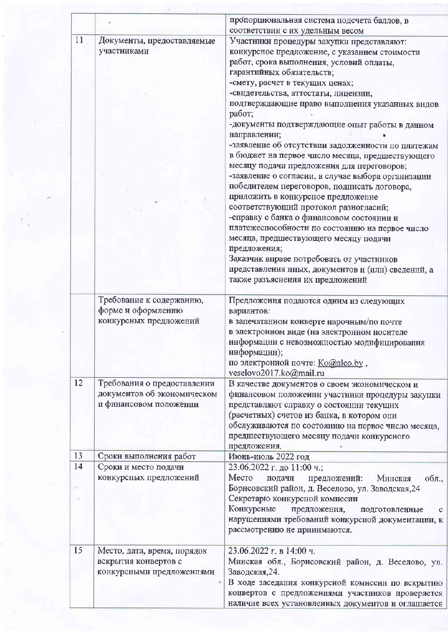|    |                             | пропорциональная система подсчета баллов, в<br>соответствии с их удельным весом           |
|----|-----------------------------|-------------------------------------------------------------------------------------------|
| 11 | Документы, предоставляемые  | Участники процедуры закупки представляют:                                                 |
|    | участниками                 | конкурсное предложение, с указанием стоимости<br>работ, срока выполнения, условий оплаты, |
|    |                             | гарантийных обязательств;                                                                 |
|    |                             | -смету, расчет в текущих ценах;                                                           |
|    |                             | -свидетельства, аттестаты, лицензии,                                                      |
|    |                             | подтверждающие право выполнения указанных видов                                           |
|    |                             | работ;                                                                                    |
|    |                             | -документы подтверждающие опыт работы в данном<br>направлении;                            |
|    |                             | -заявление об отсутствии задолженности по платежам                                        |
|    |                             | в бюджет на первое число месяца, предшествующего                                          |
|    |                             | месяцу подачи предложения для переговоров;                                                |
|    |                             | -заявление о согласии, в случае выбора организации                                        |
|    |                             | победителем переговоров, подписать договора,<br>приложить в конкурсное предложение        |
|    |                             | соответствующий протокол разногласий;                                                     |
|    |                             | -справку с банка о финансовом состоянии и                                                 |
|    |                             | платежеспособности по состоянию на первое число                                           |
|    |                             | месяца, предшествующего месяцу подачи                                                     |
|    |                             | предложения;                                                                              |
|    |                             | Заказчик вправе потребовать от участников                                                 |
|    |                             | представления иных, документов и (или) сведений, а                                        |
|    |                             | также разъяснения их предложений                                                          |
|    | Требование к содержанию,    | Предложения подаются одним из следующих                                                   |
|    | форме и оформлению          | вариантов:                                                                                |
|    | конкурсных предложений      | в запечатанном конверте нарочным/по почте                                                 |
|    |                             | в электронном виде (на электронном носителе                                               |
|    |                             | информации с невозможностью модифицирования                                               |
|    |                             | информации);<br>по электронной почте: Ko@alco.by,                                         |
|    |                             | veselovo2017.ko@mail.ru                                                                   |
| 12 | Требования о предоставлении | В качестве документов о своем экономическом и                                             |
|    | документов об экономическом | финансовом положении участники процедуры закупки                                          |
|    | и финансовом положении      | представляют справку о состоянии текущих                                                  |
|    |                             | (расчетных) счетов из банка, в котором они                                                |
|    |                             | обслуживаются по состоянию на первое число месяца,                                        |
|    |                             | предшествующего месяцу подачи конкурсного                                                 |
| 13 | Сроки выполнения работ      | предложения.<br>Июнь-июль 2022 год                                                        |
| 14 | Сроки и место подачи        | 23.06.2022 г. до 11:00 ч.;                                                                |
|    | конкурсных предложений      | Место<br>подачи<br>предложений:<br>Минская<br>обл.,                                       |
|    |                             | Борисовский район, д. Веселово, ул. Заводская, 24                                         |
|    |                             | Секретарю конкурсной комиссии                                                             |
|    |                             | Конкурсные<br>предложения,<br>подготовленные<br>c                                         |
|    |                             | нарушениями требований конкурсной документации, к                                         |
|    |                             | рассмотрению не принимаются.                                                              |
| 15 | Место, дата, время, порядок | 23.06.2022 г. в 14:00 ч.                                                                  |
|    | вскрытия конвертов с        | Минская обл., Борисовский район, д. Веселово, ул.                                         |
|    | конкурсными предложениями   | Заводская, 24.                                                                            |
|    |                             | В ходе заседания конкурсной комиссии по вскрытию                                          |
|    |                             | конвертов с предложениями участников проверяется                                          |
|    |                             | наличие всех установленных документов и оглашается                                        |